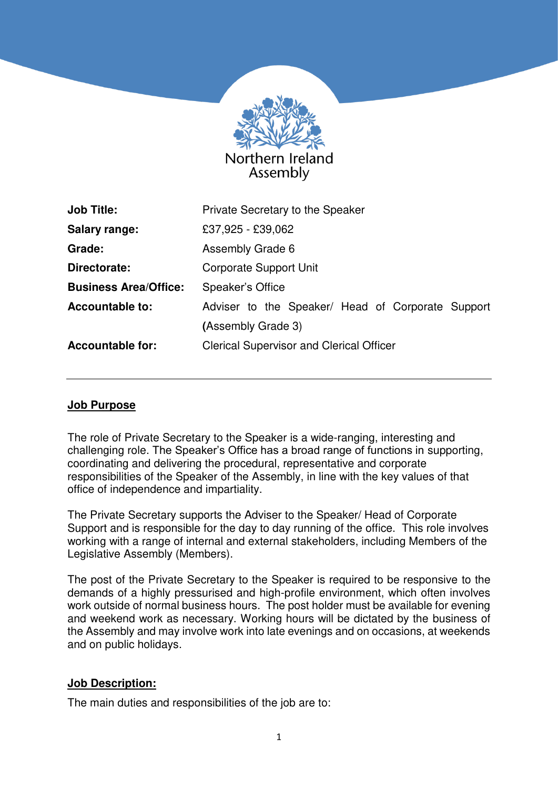

| <b>Job Title:</b>            | Private Secretary to the Speaker                  |
|------------------------------|---------------------------------------------------|
| <b>Salary range:</b>         | £37,925 - £39,062                                 |
| Grade:                       | Assembly Grade 6                                  |
| Directorate:                 | <b>Corporate Support Unit</b>                     |
| <b>Business Area/Office:</b> | Speaker's Office                                  |
| <b>Accountable to:</b>       | Adviser to the Speaker/ Head of Corporate Support |
|                              | (Assembly Grade 3)                                |
| <b>Accountable for:</b>      | <b>Clerical Supervisor and Clerical Officer</b>   |
|                              |                                                   |

#### **Job Purpose**

The role of Private Secretary to the Speaker is a wide-ranging, interesting and challenging role. The Speaker's Office has a broad range of functions in supporting, coordinating and delivering the procedural, representative and corporate responsibilities of the Speaker of the Assembly, in line with the key values of that office of independence and impartiality.

The Private Secretary supports the Adviser to the Speaker/ Head of Corporate Support and is responsible for the day to day running of the office. This role involves working with a range of internal and external stakeholders, including Members of the Legislative Assembly (Members).

The post of the Private Secretary to the Speaker is required to be responsive to the demands of a highly pressurised and high-profile environment, which often involves work outside of normal business hours. The post holder must be available for evening and weekend work as necessary. Working hours will be dictated by the business of the Assembly and may involve work into late evenings and on occasions, at weekends and on public holidays.

#### **Job Description:**

The main duties and responsibilities of the job are to: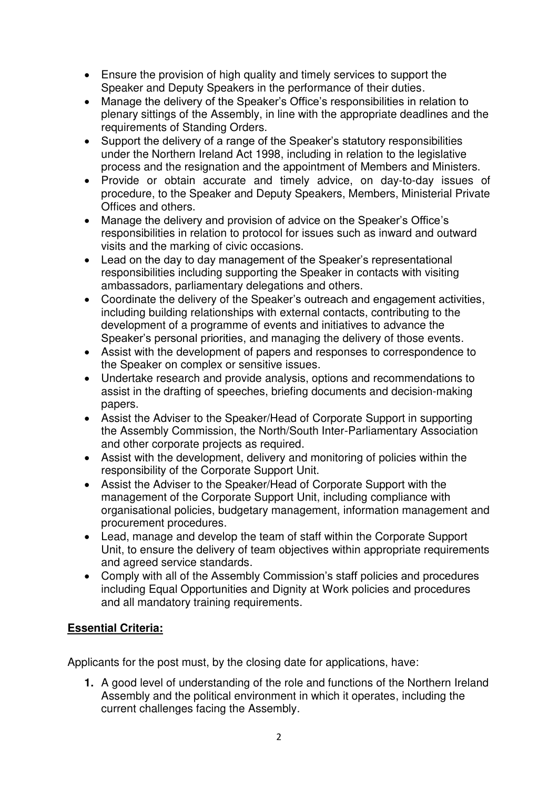- Ensure the provision of high quality and timely services to support the Speaker and Deputy Speakers in the performance of their duties.
- Manage the delivery of the Speaker's Office's responsibilities in relation to plenary sittings of the Assembly, in line with the appropriate deadlines and the requirements of Standing Orders.
- Support the delivery of a range of the Speaker's statutory responsibilities under the Northern Ireland Act 1998, including in relation to the legislative process and the resignation and the appointment of Members and Ministers.
- Provide or obtain accurate and timely advice, on day-to-day issues of procedure, to the Speaker and Deputy Speakers, Members, Ministerial Private Offices and others.
- Manage the delivery and provision of advice on the Speaker's Office's responsibilities in relation to protocol for issues such as inward and outward visits and the marking of civic occasions.
- Lead on the day to day management of the Speaker's representational responsibilities including supporting the Speaker in contacts with visiting ambassadors, parliamentary delegations and others.
- Coordinate the delivery of the Speaker's outreach and engagement activities, including building relationships with external contacts, contributing to the development of a programme of events and initiatives to advance the Speaker's personal priorities, and managing the delivery of those events.
- Assist with the development of papers and responses to correspondence to the Speaker on complex or sensitive issues.
- Undertake research and provide analysis, options and recommendations to assist in the drafting of speeches, briefing documents and decision-making papers.
- Assist the Adviser to the Speaker/Head of Corporate Support in supporting the Assembly Commission, the North/South Inter-Parliamentary Association and other corporate projects as required.
- Assist with the development, delivery and monitoring of policies within the responsibility of the Corporate Support Unit.
- Assist the Adviser to the Speaker/Head of Corporate Support with the management of the Corporate Support Unit, including compliance with organisational policies, budgetary management, information management and procurement procedures.
- Lead, manage and develop the team of staff within the Corporate Support Unit, to ensure the delivery of team objectives within appropriate requirements and agreed service standards.
- Comply with all of the Assembly Commission's staff policies and procedures including Equal Opportunities and Dignity at Work policies and procedures and all mandatory training requirements.

## **Essential Criteria:**

Applicants for the post must, by the closing date for applications, have:

**1.** A good level of understanding of the role and functions of the Northern Ireland Assembly and the political environment in which it operates, including the current challenges facing the Assembly.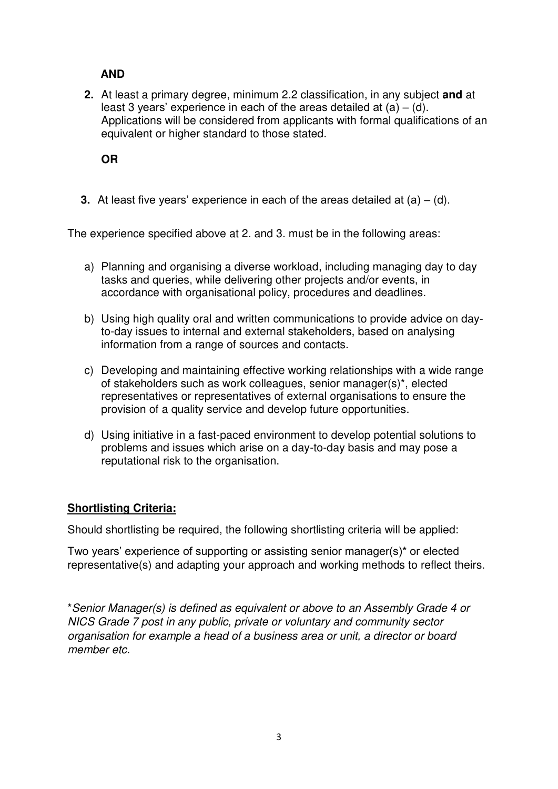# **AND**

**2.** At least a primary degree, minimum 2.2 classification, in any subject **and** at least 3 years' experience in each of the areas detailed at  $(a) - (d)$ . Applications will be considered from applicants with formal qualifications of an equivalent or higher standard to those stated.

**OR**

**3.** At least five vears' experience in each of the areas detailed at  $(a) - (d)$ .

The experience specified above at 2. and 3. must be in the following areas:

- a) Planning and organising a diverse workload, including managing day to day tasks and queries, while delivering other projects and/or events, in accordance with organisational policy, procedures and deadlines.
- b) Using high quality oral and written communications to provide advice on dayto-day issues to internal and external stakeholders, based on analysing information from a range of sources and contacts.
- c) Developing and maintaining effective working relationships with a wide range of stakeholders such as work colleagues, senior manager(s)\*, elected representatives or representatives of external organisations to ensure the provision of a quality service and develop future opportunities.
- d) Using initiative in a fast-paced environment to develop potential solutions to problems and issues which arise on a day-to-day basis and may pose a reputational risk to the organisation.

## **Shortlisting Criteria:**

Should shortlisting be required, the following shortlisting criteria will be applied:

Two years' experience of supporting or assisting senior manager(s)\* or elected representative(s) and adapting your approach and working methods to reflect theirs.

\*Senior Manager(s) is defined as equivalent or above to an Assembly Grade 4 or NICS Grade 7 post in any public, private or voluntary and community sector organisation for example a head of a business area or unit, a director or board member etc.